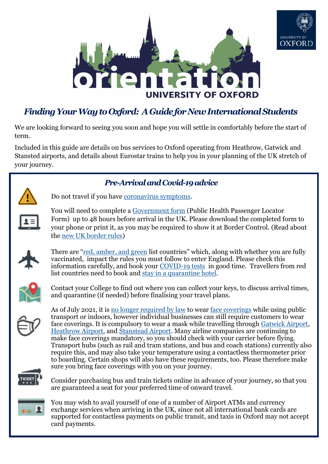



# *Finding Your Way to Oxford: A Guide for New International Students*

We are looking forward to seeing you soon and hope you will settle in comfortably before the start of term.

Included in this guide are details on bus services to Oxford operating from Heathrow, Gatwick and Stansted airports, and details about Eurostar trains to help you in your planning of the UK stretch of your journey.





Do not travel if you have [coronavirus symptoms.](https://www.nhs.uk/conditions/coronavirus-covid-19/symptoms)



You will need to complete a [Government form](https://visas-immigration.service.gov.uk/public-health-passenger-locator-form?_ga=2.135854065.1973632868.1594886233-238060624.1594886233) (Public Health Passenger Locator Form) up to 48 hours before arrival in the UK. Please download the completed form to your phone or print it, as you may be required to show it at Border Control. (Read about the [new UK border rules\)](https://www.gov.uk/uk-border-control)



There are "[red, amber, and green](https://www.gov.uk/guidance/red-amber-and-green-list-rules-for-entering-england#updates-to-the-travel-corridor-list) list countries" which, along with whether you are fully vaccinated, impact the rules you must follow to enter England. Please check this information carefully, and book your COVID-[19 tests](https://www.gov.uk/guidance/coronavirus-covid-19-testing-for-people-travelling-to-england) in good time. Travellers from red list countries need to book and [stay in a quarantine hotel.](https://www.gov.uk/guidance/booking-and-staying-in-a-quarantine-hotel-when-you-arrive-in-england)



Contact your College to find out where you can collect your keys, to discuss arrival times, and quarantine (if needed) before finalising your travel plans.



As of July 2021, it is [no longer required by law](https://www.gov.uk/government/publications/face-coverings-when-to-wear-one-and-how-to-make-your-own/face-coverings-when-to-wear-one-and-how-to-make-your-own) to wear [face coverings](https://www.gov.uk/government/publications/face-coverings-when-to-wear-one-and-how-to-make-your-own/face-coverings-when-to-wear-one-and-how-to-make-your-own) while using public transport or indoors, however individual businesses can still require customers to wear face coverings. It is compulsory to wear a mask while travelling through [Gatwick Airport,](https://www.gatwickairport.com/faqs/COVID-19/) [Heathrow Airport,](https://www.heathrow.com/at-the-airport/fly-safe/safety-measures) and [Stanstead Airport.](https://www.stanstedairport.com/coronavirus/) Many airline companies are continuing to make face coverings mandatory, so you should check with your carrier before flying. Transport hubs (such as rail and tram stations, and bus and coach stations) currently also require this, and may also take your temperature using a contactless thermometer prior to boarding. Certain shops will also have these requirements, too. Please therefore make sure you bring face coverings with you on your journey.



Consider purchasing bus and train tickets online in advance of your journey, so that you are guaranteed a seat for your preferred time of onward travel.



You may wish to avail yourself of one of a number of Airport ATMs and currency exchange services when arriving in the UK, since not all international bank cards are supported for contactless payments on public transit, and taxis in Oxford may not accept card payments.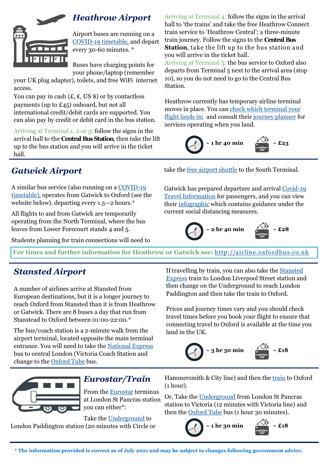

#### *Heathrow Airport*

Airport buses are running on a COVID-[19 timetable,](https://assets.goaheadbus.com/media/cms_page_media/2718/202107519_the_airline_-_COVID-19_Coronavirus_Timetable_Portrait_V4.pdf) and depart every 30-60 minutes. \*

Buses have charging points for your phone/laptop (remember

your UK plug adapter), toilets, and free WiFi internet access.

You can pay in cash  $(E, \epsilon, \text{US} \text{)}$  or by contactless payments (up to £45) onboard, but not all international credit/debit cards are supported. You can also pay by credit or debit card in the bus station.

Arriving at Terminal 1, 2 or 3: follow the signs in the arrival hall to the **Central Bus Station**, then take the lift up to the bus station and you will arrive in the ticket hall.

Arriving at Terminal 4: follow the signs in the arrival hall to 'the trains' and take the free Heathrow Connect train service to 'Heathrow Central'; a three-minute train journey. Follow the signs to the **Central Bus Station**, take the lift up to the bus station and you will arrive in the ticket hall. Arriving at Terminal 5: the bus service to Oxford also departs from Terminal 5 next to the arrival area (stop 10), so you do not need to go to the Central Bus Station.

Heathrow currently has temporary airline terminal moves in place. You can [check which terminal your](https://www.heathrow.com/at-the-airport/terminal-guides/which-terminal)  [flight lands in;](https://www.heathrow.com/at-the-airport/terminal-guides/which-terminal) and consult their [journey planner](https://www.heathrow.com/transport-and-directions/getting-to-central-london/journey-planner) for services operating when you land.



# *Gatwick Airport*

A similar bus service (also running on a [COVID](https://assets.goaheadbus.com/media/cms_page_media/2718/202107519_the_airline_-_COVID-19_Coronavirus_Timetable_Portrait_V4.pdf)-19 [timetable\),](https://assets.goaheadbus.com/media/cms_page_media/2718/202107519_the_airline_-_COVID-19_Coronavirus_Timetable_Portrait_V4.pdf) operates from Gatwick to Oxford (see the website below). departing every 1.5—2 hours.\*

All flights to and from Gatwick are temporarily operating from the North Terminal, where the bus leaves from Lower Forecourt stands 4 and 5.

Students planning for train connections will need to

take the [free airport shuttle](https://www.gatwickairport.com/at-the-airport/passenger-services/Changing-terminals/) to the South Terminal.

Gatwick has prepared departure and arrival [Covid](https://www.gatwickairport.com/at-the-airport/coronavirus/)-19 [Travel Information](https://www.gatwickairport.com/at-the-airport/coronavirus/) for passengers, and you can view their [infographic](https://www.gatwickairport.com/globalassets/passenger-services/covid-19/passenger-covid-graphic) which contains guidance under the current social distancing measures.



**For times and further information for Heathrow or Gatwick see:** <http://airline.oxfordbus.co.uk>

### *Stansted Airport*

A number of airlines arrive at Stansted from European destinations, but it is a longer journey to reach Oxford from Stansted than it is from Heathrow or Gatwick. There are 8 buses a day that run from Stanstead to Oxford between 01:00-22:00.\*

The bus/coach station is a 2-minute walk from the airport terminal, located opposite the main terminal entrance. You will need to take the [National Express](http://www.nationalexpress.com/) bus to central London (Victoria Coach Station and change to the [Oxford Tube](https://www.oxfordtube.com/) bus.

If travelling by train, you can also take the [Stansted](https://www.stanstedexpress.com/)  [Express](https://www.stanstedexpress.com/) train to London Liverpool Street station and then change on the Underground to reach London Paddington and then take the train to Oxford.

Prices and journey times vary and you should check travel times before you book your flight to ensure that connecting travel to Oxford is available at the time you land in the UK.





#### *Eurostar/Train*

From the [Eurostar](http://www.eurostar.com/) terminus at London St Pancras station you can either\*:

Take the [Underground](http://www.nationalrail.co.uk) to London Paddington station (20 minutes with Circle or Hammersmith & City line) and then the [train](https://www.nationalrail.co.uk/) to Oxford (1 hour).

Or, Take the [Underground](http://www.tfl.gov.uk/modes/tube/) from London St Pancras station to Victoria (12 minutes with Victoria line) and then the [Oxford Tube](https://www.oxfordtube.com/) bus (1 hour 30 minutes).